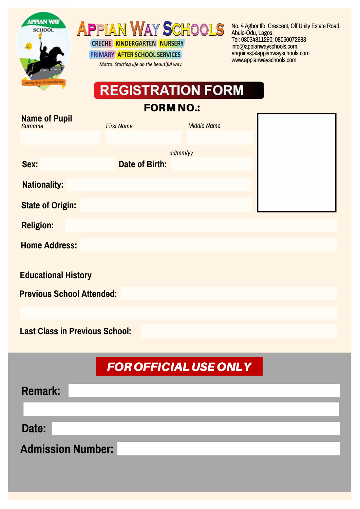

**APPIAN WAY SCHOOLS** 

**CRECHE KINDERGARTEN NURSERY** PRIMARY AFTER SCHOOL SERVICES

Motto: Starting life on the beautiful way.

No. 4 Agbor Ifo Crescent, Off Unity Estate Road, Abule-Odu, Lagos Tel: 08034811290, 08056072983 info@appianwayschools.com, enquiries@appianwayschools.com www.appianwayschools.com

# **REGISTRATION FORM**

FORM NO.:

| <b>Name of Pupil</b><br><b>Surname</b> | <b>First Name</b>     | <b>Middle Name</b> |  |
|----------------------------------------|-----------------------|--------------------|--|
|                                        |                       |                    |  |
| Sex:                                   | <b>Date of Birth:</b> | dd/mm/yy           |  |
| <b>Nationality:</b>                    |                       |                    |  |
| <b>State of Origin:</b>                |                       |                    |  |
| <b>Religion:</b>                       |                       |                    |  |
| <b>Home Address:</b>                   |                       |                    |  |
| <b>Educational History</b>             |                       |                    |  |
| <b>Previous School Attended:</b>       |                       |                    |  |
|                                        |                       |                    |  |

**Last Class in Previous School:**

# **FOR OFFICIAL USE ONLY**

| Remark:                  |  |  |  |
|--------------------------|--|--|--|
|                          |  |  |  |
| Date:                    |  |  |  |
| <b>Admission Number:</b> |  |  |  |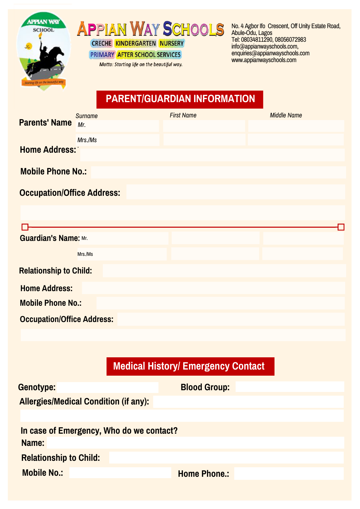

# **APPIAN WAY SCHOOLS CRECHE KINDERGARTEN NURSERY**

PRIMARY AFTER SCHOOL SERVICES

Motto: Starting life on the beautiful way.

No. 4 Agbor Ifo Crescent, Off Unity Estate Road, Abule-Odu, Lagos Tel: 08034811290, 08056072983 info@appianwayschools.com, enquiries@appianwayschools.com www.appianwayschools.com

## **PARENT/GUARDIAN INFORMATION**

|                                   | <b>Surname</b> | <b>First Name</b> | <b>Middle Name</b> |  |  |
|-----------------------------------|----------------|-------------------|--------------------|--|--|
| <b>Parents' Name</b>              | Mr.            |                   |                    |  |  |
|                                   | Mrs./Ms        |                   |                    |  |  |
| <b>Home Address:</b>              |                |                   |                    |  |  |
| <b>Mobile Phone No.:</b>          |                |                   |                    |  |  |
| <b>Occupation/Office Address:</b> |                |                   |                    |  |  |
|                                   |                |                   |                    |  |  |
|                                   |                |                   |                    |  |  |
| <b>Guardian's Name: Mr.</b>       |                |                   |                    |  |  |
|                                   | Mrs./Ms        |                   |                    |  |  |
| <b>Relationship to Child:</b>     |                |                   |                    |  |  |
| <b>Home Address:</b>              |                |                   |                    |  |  |
| <b>Mobile Phone No.:</b>          |                |                   |                    |  |  |
| <b>Occupation/Office Address:</b> |                |                   |                    |  |  |

## **Medical History/ Emergency Contact**

| Genotype:                                    | <b>Blood Group:</b> |  |  |  |  |
|----------------------------------------------|---------------------|--|--|--|--|
| <b>Allergies/Medical Condition (if any):</b> |                     |  |  |  |  |
|                                              |                     |  |  |  |  |
| In case of Emergency, Who do we contact?     |                     |  |  |  |  |
| Name:                                        |                     |  |  |  |  |
| <b>Relationship to Child:</b>                |                     |  |  |  |  |
| <b>Mobile No.:</b>                           | <b>Home Phone.:</b> |  |  |  |  |
|                                              |                     |  |  |  |  |